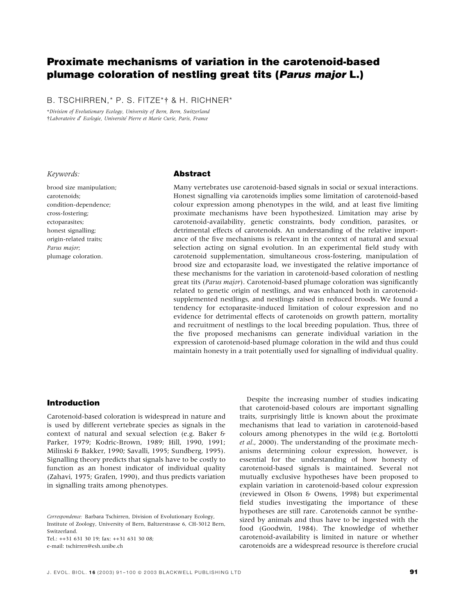# Proximate mechanisms of variation in the carotenoid-based plumage coloration of nestling great tits (Parus major L.)

B. TSCHIRREN,\* P. S. FITZE\*† & H. RICHNER\*

\*Division of Evolutionary Ecology, University of Bern, Bern, Switzerland Laboratoire d¢ Ecologie, Universite´ Pierre et Marie Curie, Paris, France

# Keywords:

brood size manipulation; carotenoids; condition-dependence; cross-fostering; ectoparasites; honest signalling; origin-related traits; Parus major; plumage coloration.

### Abstract

Many vertebrates use carotenoid-based signals in social or sexual interactions. Honest signalling via carotenoids implies some limitation of carotenoid-based colour expression among phenotypes in the wild, and at least five limiting proximate mechanisms have been hypothesized. Limitation may arise by carotenoid-availability, genetic constraints, body condition, parasites, or detrimental effects of carotenoids. An understanding of the relative importance of the five mechanisms is relevant in the context of natural and sexual selection acting on signal evolution. In an experimental field study with carotenoid supplementation, simultaneous cross-fostering, manipulation of brood size and ectoparasite load, we investigated the relative importance of these mechanisms for the variation in carotenoid-based coloration of nestling great tits (Parus major). Carotenoid-based plumage coloration was significantly related to genetic origin of nestlings, and was enhanced both in carotenoidsupplemented nestlings, and nestlings raised in reduced broods. We found a tendency for ectoparasite-induced limitation of colour expression and no evidence for detrimental effects of carotenoids on growth pattern, mortality and recruitment of nestlings to the local breeding population. Thus, three of the five proposed mechanisms can generate individual variation in the expression of carotenoid-based plumage coloration in the wild and thus could maintain honesty in a trait potentially used for signalling of individual quality.

# Introduction

Carotenoid-based coloration is widespread in nature and is used by different vertebrate species as signals in the context of natural and sexual selection (e.g. Baker & Parker, 1979; Kodric-Brown, 1989; Hill, 1990, 1991; Milinski & Bakker, 1990; Savalli, 1995; Sundberg, 1995). Signalling theory predicts that signals have to be costly to function as an honest indicator of individual quality (Zahavi, 1975; Grafen, 1990), and thus predicts variation in signalling traits among phenotypes.

Tel.: ++31 631 30 19; fax: ++31 631 30 08; e-mail: tschirren@esh.unibe.ch

Despite the increasing number of studies indicating that carotenoid-based colours are important signalling traits, surprisingly little is known about the proximate mechanisms that lead to variation in carotenoid-based colours among phenotypes in the wild (e.g. Bortolotti et al., 2000). The understanding of the proximate mechanisms determining colour expression, however, is essential for the understanding of how honesty of carotenoid-based signals is maintained. Several not mutually exclusive hypotheses have been proposed to explain variation in carotenoid-based colour expression (reviewed in Olson & Owens, 1998) but experimental field studies investigating the importance of these hypotheses are still rare. Carotenoids cannot be synthesized by animals and thus have to be ingested with the food (Goodwin, 1984). The knowledge of whether carotenoid-availability is limited in nature or whether carotenoids are a widespread resource is therefore crucial

Correspondence: Barbara Tschirren, Division of Evolutionary Ecology, Institute of Zoology, University of Bern, Baltzerstrasse 6, CH-3012 Bern, Switzerland.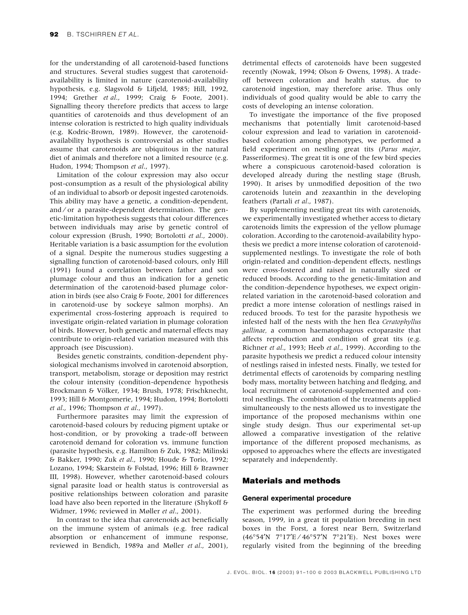for the understanding of all carotenoid-based functions and structures. Several studies suggest that carotenoidavailability is limited in nature (carotenoid-availability hypothesis, e.g. Slagsvold & Lifjeld, 1985; Hill, 1992, 1994; Grether et al., 1999; Craig & Foote, 2001). Signalling theory therefore predicts that access to large quantities of carotenoids and thus development of an intense coloration is restricted to high quality individuals (e.g. Kodric-Brown, 1989). However, the carotenoidavailability hypothesis is controversial as other studies assume that carotenoids are ubiquitous in the natural diet of animals and therefore not a limited resource (e.g. Hudon, 1994; Thompson et al., 1997).

Limitation of the colour expression may also occur post-consumption as a result of the physiological ability of an individual to absorb or deposit ingested carotenoids. This ability may have a genetic, a condition-dependent, and ⁄ or a parasite-dependent determination. The genetic-limitation hypothesis suggests that colour differences between individuals may arise by genetic control of colour expression (Brush, 1990; Bortolotti et al., 2000). Heritable variation is a basic assumption for the evolution of a signal. Despite the numerous studies suggesting a signalling function of carotenoid-based colours, only Hill (1991) found a correlation between father and son plumage colour and thus an indication for a genetic determination of the carotenoid-based plumage coloration in birds (see also Craig & Foote, 2001 for differences in carotenoid-use by sockeye salmon morphs). An experimental cross-fostering approach is required to investigate origin-related variation in plumage coloration of birds. However, both genetic and maternal effects may contribute to origin-related variation measured with this approach (see Discussion).

Besides genetic constraints, condition-dependent physiological mechanisms involved in carotenoid absorption, transport, metabolism, storage or deposition may restrict the colour intensity (condition-dependence hypothesis Brockmann & Völker, 1934; Brush, 1978; Frischknecht, 1993; Hill & Montgomerie, 1994; Hudon, 1994; Bortolotti et al., 1996; Thompson et al., 1997).

Furthermore parasites may limit the expression of carotenoid-based colours by reducing pigment uptake or host-condition, or by provoking a trade-off between carotenoid demand for coloration vs. immune function (parasite hypothesis, e.g. Hamilton & Zuk, 1982; Milinski & Bakker, 1990; Zuk et al., 1990; Houde & Torio, 1992; Lozano, 1994; Skarstein & Folstad, 1996; Hill & Brawner III, 1998). However, whether carotenoid-based colours signal parasite load or health status is controversial as positive relationships between coloration and parasite load have also been reported in the literature (Shykoff & Widmer, 1996; reviewed in Møller et al., 2001).

In contrast to the idea that carotenoids act beneficially on the immune system of animals (e.g. free radical absorption or enhancement of immune response, reviewed in Bendich, 1989a and Møller et al., 2001),

detrimental effects of carotenoids have been suggested recently (Nowak, 1994; Olson & Owens, 1998). A tradeoff between coloration and health status, due to carotenoid ingestion, may therefore arise. Thus only individuals of good quality would be able to carry the costs of developing an intense coloration.

To investigate the importance of the five proposed mechanisms that potentially limit carotenoid-based colour expression and lead to variation in carotenoidbased coloration among phenotypes, we performed a field experiment on nestling great tits (Parus major, Passeriformes). The great tit is one of the few bird species where a conspicuous carotenoid-based coloration is developed already during the nestling stage (Brush, 1990). It arises by unmodified deposition of the two carotenoids lutein and zeaxanthin in the developing feathers (Partali et al., 1987).

By supplementing nestling great tits with carotenoids, we experimentally investigated whether access to dietary carotenoids limits the expression of the yellow plumage coloration. According to the carotenoid-availability hypothesis we predict a more intense coloration of carotenoidsupplemented nestlings. To investigate the role of both origin-related and condition-dependent effects, nestlings were cross-fostered and raised in naturally sized or reduced broods. According to the genetic-limitation and the condition-dependence hypotheses, we expect originrelated variation in the carotenoid-based coloration and predict a more intense coloration of nestlings raised in reduced broods. To test for the parasite hypothesis we infested half of the nests with the hen flea Ceratophyllus gallinae, a common haematophagous ectoparasite that affects reproduction and condition of great tits (e.g. Richner et al., 1993; Heeb et al., 1999). According to the parasite hypothesis we predict a reduced colour intensity of nestlings raised in infested nests. Finally, we tested for detrimental effects of carotenoids by comparing nestling body mass, mortality between hatching and fledging, and local recruitment of carotenoid-supplemented and control nestlings. The combination of the treatments applied simultaneously to the nests allowed us to investigate the importance of the proposed mechanisms within one single study design. Thus our experimental set-up allowed a comparative investigation of the relative importance of the different proposed mechanisms, as opposed to approaches where the effects are investigated separately and independently.

# Materials and methods

### General experimental procedure

The experiment was performed during the breeding season, 1999, in a great tit population breeding in nest boxes in the Forst, a forest near Bern, Switzerland (46°54'N 7°17'E / 46°57'N 7°21'E). Nest boxes were regularly visited from the beginning of the breeding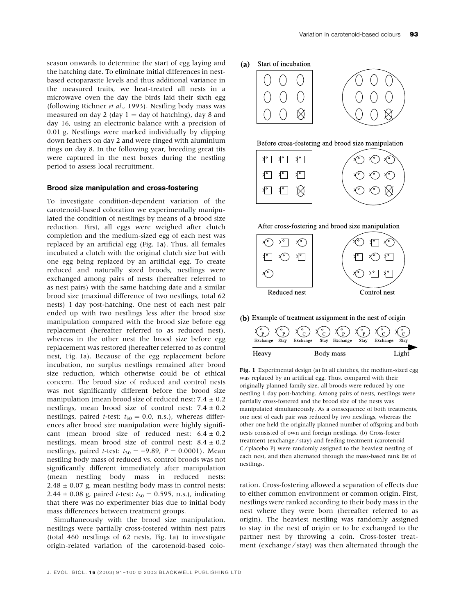season onwards to determine the start of egg laying and the hatching date. To eliminate initial differences in nestbased ectoparasite levels and thus additional variance in the measured traits, we heat-treated all nests in a microwave oven the day the birds laid their sixth egg (following Richner et al., 1993). Nestling body mass was measured on day 2 (day  $1 =$  day of hatching), day 8 and day 16, using an electronic balance with a precision of 0.01 g. Nestlings were marked individually by clipping down feathers on day 2 and were ringed with aluminium rings on day 8. In the following year, breeding great tits were captured in the nest boxes during the nestling period to assess local recruitment.

# Brood size manipulation and cross-fostering

To investigate condition-dependent variation of the carotenoid-based coloration we experimentally manipulated the condition of nestlings by means of a brood size reduction. First, all eggs were weighed after clutch completion and the medium-sized egg of each nest was replaced by an artificial egg (Fig. 1a). Thus, all females incubated a clutch with the original clutch size but with one egg being replaced by an artificial egg. To create reduced and naturally sized broods, nestlings were exchanged among pairs of nests (hereafter referred to as nest pairs) with the same hatching date and a similar brood size (maximal difference of two nestlings, total 62 nests) 1 day post-hatching. One nest of each nest pair ended up with two nestlings less after the brood size manipulation compared with the brood size before egg replacement (hereafter referred to as reduced nest), whereas in the other nest the brood size before egg replacement was restored (hereafter referred to as control nest, Fig. 1a). Because of the egg replacement before incubation, no surplus nestlings remained after brood size reduction, which otherwise could be of ethical concern. The brood size of reduced and control nests was not significantly different before the brood size manipulation (mean brood size of reduced nest:  $7.4 \pm 0.2$ nestlings, mean brood size of control nest:  $7.4 \pm 0.2$ nestlings, paired *t*-test:  $t_{30} = 0.0$ , n.s.), whereas differences after brood size manipulation were highly significant (mean brood size of reduced nest:  $6.4 \pm 0.2$ nestlings, mean brood size of control nest:  $8.4 \pm 0.2$ nestlings, paired *t*-test:  $t_{30} = -9.89$ ,  $P = 0.0001$ ). Mean nestling body mass of reduced vs. control broods was not significantly different immediately after manipulation (mean nestling body mass in reduced nests:  $2.48 \pm 0.07$  g, mean nestling body mass in control nests: 2.44  $\pm$  0.08 g, paired *t*-test:  $t_{30} = 0.595$ , n.s.), indicating that there was no experimenter bias due to initial body mass differences between treatment groups.

Simultaneously with the brood size manipulation, nestlings were partially cross-fostered within nest pairs (total 460 nestlings of 62 nests, Fig. 1a) to investigate origin-related variation of the carotenoid-based colo-





After cross-fostering and brood size manipulation



(b) Example of treatment assignment in the nest of origin

| $\bullet$<br>$\circ$ <sub>p</sub><br>$\mathbf{D}$<br>Exchange<br>Stav | $\chi^{\circ}_{\mathcal{C}}$ $\chi^{\circ}_{\mathcal{C}}$ $\chi^{\circ}_{\mathcal{P}}$ $\chi^{\circ}_{\mathcal{P}}$ $\chi^{\circ}_{\mathcal{C}}$ $\chi^{\circ}_{\mathcal{C}}$<br>Exchange<br>Exchange<br>Stay | Exchange<br>Stay<br><b>Stav</b> |
|-----------------------------------------------------------------------|---------------------------------------------------------------------------------------------------------------------------------------------------------------------------------------------------------------|---------------------------------|
| Heavy                                                                 | Body mass                                                                                                                                                                                                     |                                 |

Fig. 1 Experimental design (a) In all clutches, the medium-sized egg was replaced by an artificial egg. Thus, compared with their originally planned family size, all broods were reduced by one nestling 1 day post-hatching. Among pairs of nests, nestlings were partially cross-fostered and the brood size of the nests was manipulated simultaneously. As a consequence of both treatments, one nest of each pair was reduced by two nestlings, whereas the other one held the originally planned number of offspring and both nests consisted of own and foreign nestlings. (b) Cross-foster treatment (exchange ⁄ stay) and feeding treatment (carotenoid C ⁄ placebo P) were randomly assigned to the heaviest nestling of each nest, and then alternated through the mass-based rank list of nestlings.

ration. Cross-fostering allowed a separation of effects due to either common environment or common origin. First, nestlings were ranked according to their body mass in the nest where they were born (hereafter referred to as origin). The heaviest nestling was randomly assigned to stay in the nest of origin or to be exchanged to the partner nest by throwing a coin. Cross-foster treatment (exchange ⁄ stay) was then alternated through the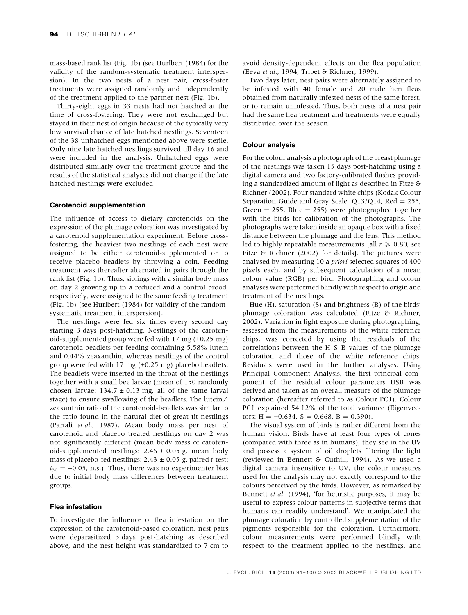mass-based rank list (Fig. 1b) (see Hurlbert (1984) for the validity of the random-systematic treatment interspersion). In the two nests of a nest pair, cross-foster treatments were assigned randomly and independently of the treatment applied to the partner nest (Fig. 1b).

Thirty-eight eggs in 33 nests had not hatched at the time of cross-fostering. They were not exchanged but stayed in their nest of origin because of the typically very low survival chance of late hatched nestlings. Seventeen of the 38 unhatched eggs mentioned above were sterile. Only nine late hatched nestlings survived till day 16 and were included in the analysis. Unhatched eggs were distributed similarly over the treatment groups and the results of the statistical analyses did not change if the late hatched nestlings were excluded.

# Carotenoid supplementation

The influence of access to dietary carotenoids on the expression of the plumage coloration was investigated by a carotenoid supplementation experiment. Before crossfostering, the heaviest two nestlings of each nest were assigned to be either carotenoid-supplemented or to receive placebo beadlets by throwing a coin. Feeding treatment was thereafter alternated in pairs through the rank list (Fig. 1b). Thus, siblings with a similar body mass on day 2 growing up in a reduced and a control brood, respectively, were assigned to the same feeding treatment (Fig. 1b) [see Hurlbert (1984) for validity of the randomsystematic treatment interspersion].

The nestlings were fed six times every second day starting 3 days post-hatching. Nestlings of the carotenoid-supplemented group were fed with 17 mg (±0.25 mg) carotenoid beadlets per feeding containing 5.58% lutein and 0.44% zeaxanthin, whereas nestlings of the control group were fed with 17 mg  $(\pm 0.25 \text{ mg})$  placebo beadlets. The beadlets were inserted in the throat of the nestlings together with a small bee larvae (mean of 150 randomly chosen larvae:  $134.7 \pm 0.13$  mg, all of the same larval stage) to ensure swallowing of the beadlets. The lutein ⁄ zeaxanthin ratio of the carotenoid-beadlets was similar to the ratio found in the natural diet of great tit nestlings (Partali et al., 1987). Mean body mass per nest of carotenoid and placebo treated nestlings on day 2 was not significantly different (mean body mass of carotenoid-supplemented nestlings:  $2.46 \pm 0.05$  g, mean body mass of placebo-fed nestlings:  $2.43 \pm 0.05$  g, paired t-test:  $t_{30} = -0.05$ , n.s.). Thus, there was no experimenter bias due to initial body mass differences between treatment groups.

# Flea infestation

To investigate the influence of flea infestation on the expression of the carotenoid-based coloration, nest pairs were deparasitized 3 days post-hatching as described above, and the nest height was standardized to 7 cm to avoid density-dependent effects on the flea population (Eeva et al., 1994; Tripet & Richner, 1999).

Two days later, nest pairs were alternately assigned to be infested with 40 female and 20 male hen fleas obtained from naturally infested nests of the same forest, or to remain uninfested. Thus, both nests of a nest pair had the same flea treatment and treatments were equally distributed over the season.

# Colour analysis

For the colour analysis a photograph of the breast plumage of the nestlings was taken 15 days post-hatching using a digital camera and two factory-calibrated flashes providing a standardized amount of light as described in Fitze  $\delta$ Richner (2002). Four standard white chips (Kodak Colour Separation Guide and Gray Scale,  $Q13/Q14$ , Red = 255, Green  $= 255$ , Blue  $= 255$ ) were photographed together with the birds for calibration of the photographs. The photographs were taken inside an opaque box with a fixed distance between the plumage and the lens. This method led to highly repeatable measurements [all  $r \ge 0.80$ , see Fitze & Richner (2002) for details]. The pictures were analysed by measuring 10 a priori selected squares of 400 pixels each, and by subsequent calculation of a mean colour value (RGB) per bird. Photographing and colour analyses were performed blindly with respect to origin and treatment of the nestlings.

Hue (H), saturation (S) and brightness (B) of the birds' plumage coloration was calculated (Fitze & Richner, 2002). Variation in light exposure during photographing, assessed from the measurements of the white reference chips, was corrected by using the residuals of the correlations between the H–S–B values of the plumage coloration and those of the white reference chips. Residuals were used in the further analyses. Using Principal Component Analysis, the first principal component of the residual colour parameters HSB was derived and taken as an overall measure of the plumage coloration (hereafter referred to as Colour PC1). Colour PC1 explained 54.12% of the total variance (Eigenvectors:  $H = -0.634$ ,  $S = 0.668$ ,  $B = 0.390$ .

The visual system of birds is rather different from the human vision. Birds have at least four types of cones (compared with three as in humans), they see in the UV and possess a system of oil droplets filtering the light (reviewed in Bennett & Cuthill, 1994). As we used a digital camera insensitive to UV, the colour measures used for the analysis may not exactly correspond to the colours perceived by the birds. However, as remarked by Bennett et al. (1994), 'for heuristic purposes, it may be useful to express colour patterns in subjective terms that humans can readily understand'. We manipulated the plumage coloration by controlled supplementation of the pigments responsible for the coloration. Furthermore, colour measurements were performed blindly with respect to the treatment applied to the nestlings, and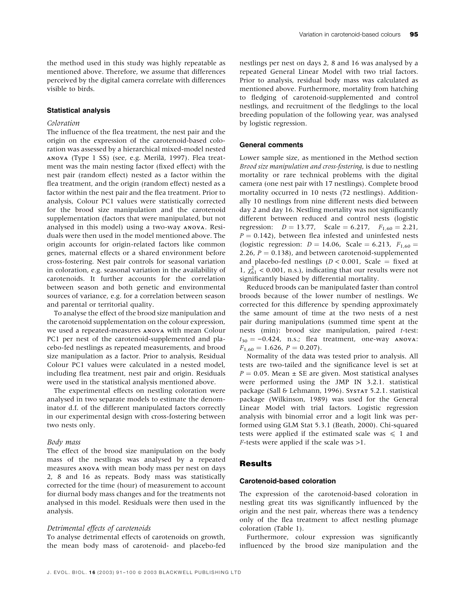the method used in this study was highly repeatable as mentioned above. Therefore, we assume that differences perceived by the digital camera correlate with differences visible to birds.

# Statistical analysis

# Coloration

The influence of the flea treatment, the nest pair and the origin on the expression of the carotenoid-based coloration was assessed by a hierarchical mixed-model nested ANOVA (Type 1 SS) (see, e.g. Merilä, 1997). Flea treatment was the main nesting factor (fixed effect) with the nest pair (random effect) nested as a factor within the flea treatment, and the origin (random effect) nested as a factor within the nest pair and the flea treatment. Prior to analysis, Colour PC1 values were statistically corrected for the brood size manipulation and the carotenoid supplementation (factors that were manipulated, but not analysed in this model) using a two-way ANOVA. Residuals were then used in the model mentioned above. The origin accounts for origin-related factors like common genes, maternal effects or a shared environment before cross-fostering. Nest pair controls for seasonal variation in coloration, e.g. seasonal variation in the availability of carotenoids. It further accounts for the correlation between season and both genetic and environmental sources of variance, e.g. for a correlation between season and parental or territorial quality.

To analyse the effect of the brood size manipulation and the carotenoid supplementation on the colour expression, we used a repeated-measures ANOVA with mean Colour PC1 per nest of the carotenoid-supplemented and placebo-fed nestlings as repeated measurements, and brood size manipulation as a factor. Prior to analysis, Residual Colour PC1 values were calculated in a nested model, including flea treatment, nest pair and origin. Residuals were used in the statistical analysis mentioned above.

The experimental effects on nestling coloration were analysed in two separate models to estimate the denominator d.f. of the different manipulated factors correctly in our experimental design with cross-fostering between two nests only.

#### Body mass

The effect of the brood size manipulation on the body mass of the nestlings was analysed by a repeated measures ANOVA with mean body mass per nest on days 2, 8 and 16 as repeats. Body mass was statistically corrected for the time (hour) of measurement to account for diurnal body mass changes and for the treatments not analysed in this model. Residuals were then used in the analysis.

### Detrimental effects of carotenoids

To analyse detrimental effects of carotenoids on growth, the mean body mass of carotenoid- and placebo-fed

nestlings per nest on days 2, 8 and 16 was analysed by a repeated General Linear Model with two trial factors. Prior to analysis, residual body mass was calculated as mentioned above. Furthermore, mortality from hatching to fledging of carotenoid-supplemented and control nestlings, and recruitment of the fledglings to the local breeding population of the following year, was analysed by logistic regression.

## General comments

Lower sample size, as mentioned in the Method section Brood size manipulation and cross-fostering, is due to nestling mortality or rare technical problems with the digital camera (one nest pair with 17 nestlings). Complete brood mortality occurred in 10 nests (72 nestlings). Additionally 10 nestlings from nine different nests died between day 2 and day 16. Nestling mortality was not significantly different between reduced and control nests (logistic regression:  $D = 13.77$ , Scale = 6.217,  $F_{1,60} = 2.21$ ,  $P = 0.142$ ), between flea infested and uninfested nests (logistic regression:  $D = 14.06$ , Scale = 6.213,  $F_{1,60} =$ 2.26,  $P = 0.138$ ), and between carotenoid-supplemented and placebo-fed nestlings ( $D < 0.001$ , Scale = fixed at 1,  $\chi_{61}^2$  < 0.001, n.s.), indicating that our results were not significantly biased by differential mortality.

Reduced broods can be manipulated faster than control broods because of the lower number of nestlings. We corrected for this difference by spending approximately the same amount of time at the two nests of a nest pair during manipulations (summed time spent at the nests (min): brood size manipulation, paired t-test:  $t_{30} = -0.424$ , n.s.; flea treatment, one-way ANOVA:  $F_{1,60} = 1.626, P = 0.207$ .

Normality of the data was tested prior to analysis. All tests are two-tailed and the significance level is set at  $P = 0.05$ . Mean  $\pm$  SE are given. Most statistical analyses were performed using the JMP IN 3.2.1. statistical package (Sall & Lehmann, 1996). SYSTAT 5.2.1. statistical package (Wilkinson, 1989) was used for the General Linear Model with trial factors. Logistic regression analysis with binomial error and a logit link was performed using GLM Stat 5.3.1 (Beath, 2000). Chi-squared tests were applied if the estimated scale was  $\leq 1$  and F-tests were applied if the scale was >1.

# Results

# Carotenoid-based coloration

The expression of the carotenoid-based coloration in nestling great tits was significantly influenced by the origin and the nest pair, whereas there was a tendency only of the flea treatment to affect nestling plumage coloration (Table 1).

Furthermore, colour expression was significantly influenced by the brood size manipulation and the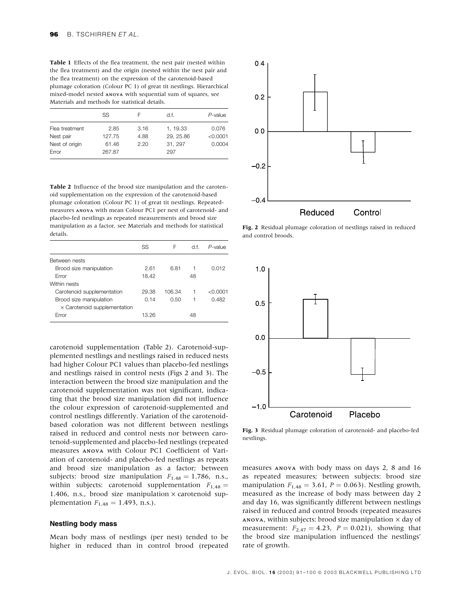Table 1 Effects of the flea treatment, the nest pair (nested within the flea treatment) and the origin (nested within the nest pair and the flea treatment) on the expression of the carotenoid-based plumage coloration (Colour PC 1) of great tit nestlings. Hierarchical mixed-model nested ANOVA with sequential sum of squares, see Materials and methods for statistical details.

|                | SS     |      | d.f.     | $P$ -value |
|----------------|--------|------|----------|------------|
| Flea treatment | 2.85   | 3.16 | 1, 19.33 | 0.076      |
| Nest pair      | 127.75 | 4.88 | 29.25.86 | < 0.0001   |
| Nest of origin | 61.46  | 2.20 | 31, 297  | 0.0004     |
| Error          | 267.87 |      | 297      |            |

Table 2 Influence of the brood size manipulation and the carotenoid supplementation on the expression of the carotenoid-based plumage coloration (Colour PC 1) of great tit nestlings. Repeatedmeasures ANOVA with mean Colour PC1 per nest of carotenoid- and placebo-fed nestlings as repeated measurements and brood size manipulation as a factor, see Materials and methods for statistical details.

|                                     | SS    | F      | df. | $P$ -value |
|-------------------------------------|-------|--------|-----|------------|
| Between nests                       |       |        |     |            |
| Brood size manipulation             | 2.61  | 6.81   |     | 0.012      |
| Error                               | 18.42 |        | 48  |            |
| Within nests                        |       |        |     |            |
| Carotenoid supplementation          | 29.38 | 106.34 | 1   | < 0.0001   |
| Brood size manipulation             | 0.14  | 0.50   |     | 0.482      |
| $\times$ Carotenoid supplementation |       |        |     |            |
| Error                               | 13.26 |        | 48  |            |

carotenoid supplementation (Table 2). Carotenoid-supplemented nestlings and nestlings raised in reduced nests had higher Colour PC1 values than placebo-fed nestlings and nestlings raised in control nests (Figs 2 and 3). The interaction between the brood size manipulation and the carotenoid supplementation was not significant, indicating that the brood size manipulation did not influence the colour expression of carotenoid-supplemented and control nestlings differently. Variation of the carotenoidbased coloration was not different between nestlings raised in reduced and control nests nor between carotenoid-supplemented and placebo-fed nestlings (repeated measures ANOVA with Colour PC1 Coefficient of Variation of carotenoid- and placebo-fed nestlings as repeats and brood size manipulation as a factor; between subjects: brood size manipulation  $F_{1,48} = 1.786$ , n.s., within subjects: carotenoid supplementation  $F_{1,48}$  = 1.406, n.s., brood size manipulation  $\times$  carotenoid supplementation  $F_{1,48} = 1.493$ , n.s.).

# Nestling body mass

Mean body mass of nestlings (per nest) tended to be higher in reduced than in control brood (repeated



Fig. 2 Residual plumage coloration of nestlings raised in reduced and control broods.



Fig. 3 Residual plumage coloration of carotenoid- and placebo-fed nestlings.

measures ANOVA with body mass on days 2, 8 and 16 as repeated measures; between subjects: brood size manipulation  $F_{1,48} = 3.61$ ,  $P = 0.063$ ). Nestling growth, measured as the increase of body mass between day 2 and day 16, was significantly different between nestlings raised in reduced and control broods (repeated measures ANOVA, within subjects: brood size manipulation  $\times$  day of measurement:  $F_{2,47} = 4.23$ ,  $P = 0.021$ ), showing that the brood size manipulation influenced the nestlings' rate of growth.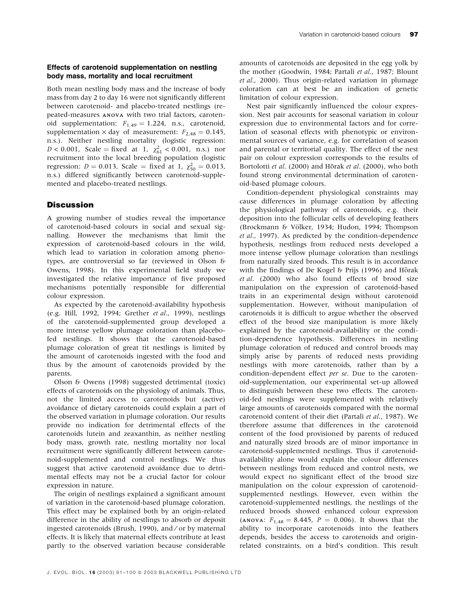# Effects of carotenoid supplementation on nestling body mass, mortality and local recruitment

Both mean nestling body mass and the increase of body mass from day 2 to day 16 were not significantly different between carotenoid- and placebo-treated nestlings (repeated-measures ANOVA with two trial factors, carotenoid supplementation:  $F_{1,49} = 1.224$ , n.s., carotenoid, supplementation  $\times$  day of measurement:  $F_{2,48} = 0.145$ , n.s.). Neither nestling mortality (logistic regression:  $D < 0.001$ , Scale = fixed at 1,  $\chi^2_{61} < 0.001$ , n.s.) nor recruitment into the local breeding population (logistic regression:  $D = 0.013$ , Scale = fixed at 1,  $\chi_{50}^2 = 0.013$ , n.s.) differed significantly between carotenoid-supplemented and placebo-treated nestlings.

# **Discussion**

A growing number of studies reveal the importance of carotenoid-based colours in social and sexual signalling. However the mechanisms that limit the expression of carotenoid-based colours in the wild, which lead to variation in coloration among phenotypes, are controversial so far (reviewed in Olson & Owens, 1998). In this experimental field study we investigated the relative importance of five proposed mechanisms potentially responsible for differential colour expression.

As expected by the carotenoid-availability hypothesis (e.g. Hill, 1992, 1994; Grether et al., 1999), nestlings of the carotenoid-supplemented group developed a more intense yellow plumage coloration than placebofed nestlings. It shows that the carotenoid-based plumage coloration of great tit nestlings is limited by the amount of carotenoids ingested with the food and thus by the amount of carotenoids provided by the parents.

Olson & Owens (1998) suggested detrimental (toxic) effects of carotenoids on the physiology of animals. Thus, not the limited access to carotenoids but (active) avoidance of dietary carotenoids could explain a part of the observed variation in plumage coloration. Our results provide no indication for detrimental effects of the carotenoids lutein and zeaxanthin, as neither nestling body mass, growth rate, nestling mortality nor local recruitment were significantly different between carotenoid-supplemented and control nestlings. We thus suggest that active carotenoid avoidance due to detrimental effects may not be a crucial factor for colour expression in nature.

The origin of nestlings explained a significant amount of variation in the carotenoid-based plumage coloration. This effect may be explained both by an origin-related difference in the ability of nestlings to absorb or deposit ingested carotenoids (Brush, 1990), and ⁄ or by maternal effects. It is likely that maternal effects contribute at least partly to the observed variation because considerable

amounts of carotenoids are deposited in the egg yolk by the mother (Goodwin, 1984; Partali et al., 1987; Blount et al., 2000). Thus origin-related variation in plumage coloration can at best be an indication of genetic limitation of colour expression.

Nest pair significantly influenced the colour expression. Nest pair accounts for seasonal variation in colour expression due to environmental factors and for correlation of seasonal effects with phenotypic or environmental sources of variance, e.g. for correlation of season and parental or territorial quality. The effect of the nest pair on colour expression corresponds to the results of Bortolotti et al. (2000) and Hõrak et al. (2000), who both found strong environmental determination of carotenoid-based plumage colours.

Condition-dependent physiological constraints may cause differences in plumage coloration by affecting the physiological pathway of carotenoids, e.g. their deposition into the follicular cells of developing feathers (Brockmann & Völker, 1934; Hudon, 1994; Thompson et al., 1997). As predicted by the condition-dependence hypothesis, nestlings from reduced nests developed a more intense yellow plumage coloration than nestlings from naturally sized broods. This result is in accordance with the findings of De Kogel & Prijs  $(1996)$  and Hõrak et al. (2000) who also found effects of brood size manipulation on the expression of carotenoid-based traits in an experimental design without carotenoid supplementation. However, without manipulation of carotenoids it is difficult to argue whether the observed effect of the brood size manipulation is more likely explained by the carotenoid-availability or the condition-dependence hypothesis. Differences in nestling plumage coloration of reduced and control broods may simply arise by parents of reduced nests providing nestlings with more carotenoids, rather than by a condition-dependent effect per se. Due to the carotenoid-supplementation, our experimental set-up allowed to distinguish between these two effects. The carotenoid-fed nestlings were supplemented with relatively large amounts of carotenoids compared with the normal carotenoid content of their diet (Partali et al., 1987). We therefore assume that differences in the carotenoid content of the food provisioned by parents of reduced and naturally sized broods are of minor importance in carotenoid-supplemented nestlings. Thus if carotenoidavailability alone would explain the colour differences between nestlings from reduced and control nests, we would expect no significant effect of the brood size manipulation on the colour expression of carotenoidsupplemented nestlings. However, even within the carotenoid-supplemented nestlings, the nestlings of the reduced broods showed enhanced colour expression (ANOVA:  $F_{1,48} = 8.445$ ,  $P = 0.006$ ). It shows that the ability to incorporate carotenoids into the feathers depends, besides the access to carotenoids and originrelated constraints, on a bird's condition. This result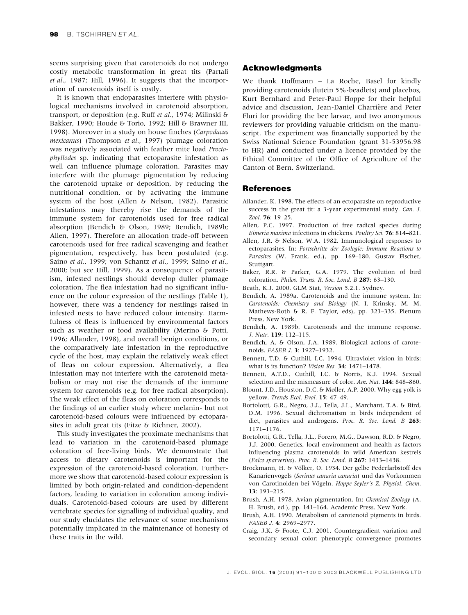seems surprising given that carotenoids do not undergo costly metabolic transformation in great tits (Partali et al., 1987; Hill, 1996). It suggests that the incorporation of carotenoids itself is costly.

It is known that endoparasites interfere with physiological mechanisms involved in carotenoid absorption, transport, or deposition (e.g. Ruff et al., 1974; Milinski & Bakker, 1990; Houde & Torio, 1992; Hill & Brawner III, 1998). Moreover in a study on house finches (Carpodacus mexicanus) (Thompson et al., 1997) plumage coloration was negatively associated with feather mite load Proctophyllodes sp. indicating that ectoparasite infestation as well can influence plumage coloration. Parasites may interfere with the plumage pigmentation by reducing the carotenoid uptake or deposition, by reducing the nutritional condition, or by activating the immune system of the host (Allen & Nelson, 1982). Parasitic infestations may thereby rise the demands of the immune system for carotenoids used for free radical absorption (Bendich & Olson, 1989; Bendich, 1989b; Allen, 1997). Therefore an allocation trade-off between carotenoids used for free radical scavenging and feather pigmentation, respectively, has been postulated (e.g. Saino et al., 1999; von Schantz et al., 1999; Saino et al., 2000; but see Hill, 1999). As a consequence of parasitism, infested nestlings should develop duller plumage coloration. The flea infestation had no significant influence on the colour expression of the nestlings (Table 1), however, there was a tendency for nestlings raised in infested nests to have reduced colour intensity. Harmfulness of fleas is influenced by environmental factors such as weather or food availability (Merino & Potti, 1996; Allander, 1998), and overall benign conditions, or the comparatively late infestation in the reproductive cycle of the host, may explain the relatively weak effect of fleas on colour expression. Alternatively, a flea infestation may not interfere with the carotenoid metabolism or may not rise the demands of the immune system for carotenoids (e.g. for free radical absorption). The weak effect of the fleas on coloration corresponds to the findings of an earlier study where melanin- but not carotenoid-based colours were influenced by ectoparasites in adult great tits (Fitze & Richner, 2002).

This study investigates the proximate mechanisms that lead to variation in the carotenoid-based plumage coloration of free-living birds. We demonstrate that access to dietary carotenoids is important for the expression of the carotenoid-based coloration. Furthermore we show that carotenoid-based colour expression is limited by both origin-related and condition-dependent factors, leading to variation in coloration among individuals. Carotenoid-based colours are used by different vertebrate species for signalling of individual quality, and our study elucidates the relevance of some mechanisms potentially implicated in the maintenance of honesty of these traits in the wild.

# Acknowledgments

We thank Hoffmann – La Roche, Basel for kindly providing carotenoids (lutein 5%-beadlets) and placebos, Kurt Bernhard and Peter-Paul Hoppe for their helpful advice and discussion, Jean-Daniel Charrière and Peter Fluri for providing the bee larvae, and two anonymous reviewers for providing valuable criticism on the manuscript. The experiment was financially supported by the Swiss National Science Foundation (grant 31-53956.98 to HR) and conducted under a licence provided by the Ethical Committee of the Office of Agriculture of the Canton of Bern, Switzerland.

# References

- Allander, K. 1998. The effects of an ectoparasite on reproductive success in the great tit: a 3-year experimental study. Can. J. Zool. 76: 19-25.
- Allen, P.C. 1997. Production of free radical species during Eimeria maxima infections in chickens. Poultry Sci. 76: 814–821.
- Allen, J.R. & Nelson, W.A. 1982. Immunological responses to ectoparasites. In: Fortschritte der Zoologie: Immune Reactions to Parasites (W. Frank, ed.), pp. 169–180. Gustav Fischer, Stuttgart.
- Baker, R.R. & Parker, G.A. 1979. The evolution of bird coloration. Philos. Trans. R. Soc. Lond. B 287: 63–130.
- Beath, K.J. 2000. GLM Stat, Version 5.2.1. Sydney.
- Bendich, A. 1989a. Carotenoids and the immune system. In: Carotenoids: Chemistry and Biology (N. I. Krinsky, M. M. Mathews-Roth & R. F. Taylor, eds), pp. 323–335. Plenum Press, New York.
- Bendich, A. 1989b. Carotenoids and the immune response. J. Nutr. 119: 112–115.
- Bendich, A. & Olson, J.A. 1989. Biological actions of carotenoids. FASEB J. 3: 1927–1932.
- Bennett, T.D. & Cuthill, I.C. 1994. Ultraviolet vision in birds: what is its function? Vision Res. 34: 1471–1478.
- Bennett, A.T.D., Cuthill, I.C. & Norris, K.J. 1994. Sexual selection and the mismeasure of color. Am. Nat. 144: 848–860.
- Blount, J.D., Houston, D.C. & Møller, A.P. 2000. Why egg yolk is yellow. Trends Ecol. Evol. 15: 47–49.
- Bortolotti, G.R., Negro, J.J., Tella, J.L., Marchant, T.A. & Bird, D.M. 1996. Sexual dichromatism in birds independent of diet, parasites and androgens. Proc. R. Soc. Lond. B 263: 1171–1176.
- Bortolotti, G.R., Tella, J.L., Forero, M.G., Dawson, R.D. & Negro, J.J. 2000. Genetics, local environment and health as factors influencing plasma carotenoids in wild American kestrels (Falco sparverius). Proc. R. Soc. Lond. B 267: 1433–1438.
- Brockmann, H. & Völker, O. 1934. Der gelbe Federfarbstoff des Kanarienvogels (Serinus canaria canaria) und das Vorkommen von Carotinoiden bei Vögeln. Hoppe-Seyler's Z. Physiol. Chem. 13: 193–215.
- Brush, A.H. 1978. Avian pigmentation. In: Chemical Zoology (A. H. Brush, ed.), pp. 141–164. Academic Press, New York.
- Brush, A.H. 1990. Metabolism of carotenoid pigments in birds. FASEB J. 4: 2969–2977.
- Craig, J.K. & Foote, C.J. 2001. Countergradient variation and secondary sexual color: phenotypic convergence promotes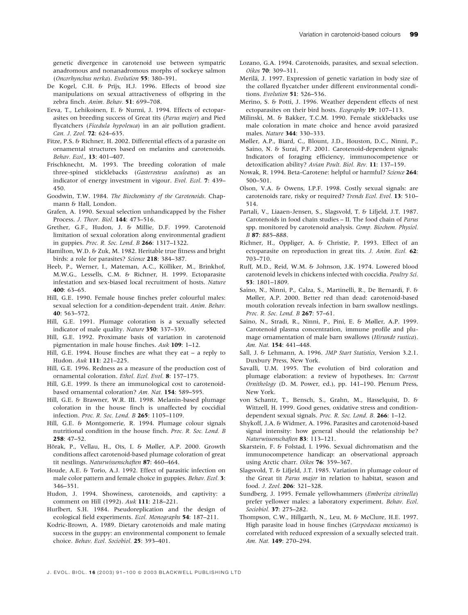genetic divergence in carotenoid use between sympatric anadromous and nonanadromous morphs of sockeye salmon (Oncorhynchus nerka). Evolution 55: 380–391.

- De Kogel, C.H. & Prijs, H.J. 1996. Effects of brood size manipulations on sexual attractiveness of offspring in the zebra finch. Anim. Behav. 51: 699-708.
- Eeva, T., Lehikoinen, E. & Nurmi, J. 1994. Effects of ectoparasites on breeding success of Great tits (Parus major) and Pied flycatchers (Ficedula hypoleuca) in an air pollution gradient. Can. J. Zool. 72: 624–635.
- Fitze, P.S. & Richner, H. 2002. Differential effects of a parasite on ornamental structures based on melanins and carotenoids. Behav. Ecol., 13: 401–407.
- Frischknecht, M. 1993. The breeding coloration of male three-spined sticklebacks (Gasterosteus aculeatus) as an indicator of energy investment in vigour. Evol. Ecol. 7: 439– 450.
- Goodwin, T.W. 1984. The Biochemistry of the Carotenoids. Chapmann & Hall, London.
- Grafen, A. 1990. Sexual selection unhandicapped by the Fisher Process. J. Theor. Biol. 144: 473–516.
- Grether, G.F., Hudon, J. & Millie, D.F. 1999. Carotenoid limitation of sexual coloration along environmental gradient in guppies. Proc. R. Soc. Lond. B 266: 1317–1322.
- Hamilton, W.D. & Zuk, M. 1982. Heritable true fitness and bright birds: a role for parasites? Science 218: 384-387.
- Heeb, P., Werner, I., Mateman, A.C., Kölliker, M., Brinkhof, M.W.G., Lessells, C.M. & Richner, H. 1999. Ectoparasite infestation and sex-biased local recruitment of hosts. Nature 400: 63–65.
- Hill, G.E. 1990. Female house finches prefer colourful males: sexual selection for a condition-dependent trait. Anim. Behav. 40: 563–572.
- Hill, G.E. 1991. Plumage coloration is a sexually selected indicator of male quality. Nature 350: 337–339.
- Hill, G.E. 1992. Proximate basis of variation in carotenoid pigmentation in male house finches. Auk 109: 1–12.
- Hill, G.E. 1994. House finches are what they eat a reply to Hudon. Auk 111: 221–225.
- Hill, G.E. 1996. Redness as a measure of the production cost of ornamental coloration. Ethol. Ecol. Evol. 8: 157–175.
- Hill, G.E. 1999. Is there an immunological cost to carotenoidbased ornamental coloration? Am. Nat. 154: 589–595.
- Hill, G.E. & Brawner, W.R. III. 1998. Melanin-based plumage coloration in the house finch is unaffected by coccidial infection. Proc. R. Soc. Lond. B 265: 1105–1109.
- Hill, G.E. & Montgomerie, R. 1994. Plumage colour signals nutritional condition in the house finch. Proc. R. Soc. Lond. B 258: 47–52.
- Hõrak, P., Vellau, H., Ots, I. & Møller, A.P. 2000. Growth conditions affect carotenoid-based plumage coloration of great tit nestlings. Naturwissenschaften 87: 460–464.
- Houde, A.E. & Torio, A.J. 1992. Effect of parasitic infection on male color pattern and female choice in guppies. Behav. Ecol. 3: 346–351.
- Hudon, J. 1994. Showiness, carotenoids, and captivity: a comment on Hill (1992). Auk 111: 218–221.
- Hurlbert, S.H. 1984. Pseudoreplication and the design of ecological field experiments. Ecol. Monographs 54: 187–211.
- Kodric-Brown, A. 1989. Dietary carotenoids and male mating success in the guppy: an environmental component to female choice. Behav. Ecol. Sociobiol. 25: 393–401.
- Lozano, G.A. 1994. Carotenoids, parasites, and sexual selection. Oikos 70: 309–311.
- Merilä, J. 1997. Expression of genetic variation in body size of the collared flycatcher under different environmental conditions. Evolution **51**: 526-536.
- Merino, S. & Potti, J. 1996. Weather dependent effects of nest ectoparasites on their bird hosts. Ecography 19: 107-113.
- Milinski, M. & Bakker, T.C.M. 1990. Female sticklebacks use male coloration in mate choice and hence avoid parasized males. Nature 344: 330–333.
- Møller, A.P., Biard, C., Blount, J.D., Houston, D.C., Ninni, P., Saino, N. & Surai, P.F. 2001. Carotenoid-dependent signals: Indicators of foraging efficiency, immunocompetence or detoxification ability? Avian Poult. Biol. Rev. 11: 137–159.
- Nowak, R. 1994. Beta-Carotene: helpful or harmful? Science 264: 500–501.
- Olson, V.A. & Owens, I.P.F. 1998. Costly sexual signals: are carotenoids rare, risky or required? Trends Ecol. Evol. 13: 510– 514.
- Partali, V., Liaaen-Jensen, S., Slagsvold, T. & Lifjeld, J.T. 1987. Carotenoids in food chain studies – II. The food chain of Parus spp. monitored by carotenoid analysis. Comp. Biochem. Physiol. B 87: 885–888.
- Richner, H., Oppliger, A. & Christie, P. 1993. Effect of an ectoparasite on reproduction in great tits. J. Anim. Ecol. 62: 703–710.
- Ruff, M.D., Reid, W.M. & Johnson, J.K. 1974. Lowered blood carotenoid levels in chickens infected with coccidia. Poultry Sci. 53: 1801–1809.
- Saino, N., Ninni, P., Calza, S., Martinelli, R., De Bernardi, F. & Møller, A.P. 2000. Better red than dead: carotenoid-based mouth coloration reveals infection in barn swallow nestlings. Proc. R. Soc. Lond. B 267: 57-61.
- Saino, N., Stradi, R., Ninni, P., Pini, E. & Møller, A.P. 1999. Carotenoid plasma concentration, immune profile and plumage ornamentation of male barn swallows (Hirundo rustica). Am. Nat. 154: 441–448.
- Sall, J. & Lehmann, A. 1996. JMP Start Statistics, Version 3.2.1. Duxbury Press, New York.
- Savalli, U.M. 1995. The evolution of bird coloration and plumage elaboration: a review of hypotheses. In: Current Ornithology (D. M. Power, ed.), pp. 141–190. Plenum Press, New York.
- von Schantz, T., Bensch, S., Grahn, M., Hasselquist, D. & Wittzell, H. 1999. Good genes, oxidative stress and conditiondependent sexual signals. Proc. R. Soc. Lond. B. 266: 1-12.
- Shykoff, J.A. & Widmer, A. 1996. Parasites and carotenoid-based signal intensity: how general should the relationship be? Naturwissenschaften 83: 113-121.
- Skarstein, F. & Folstad, I. 1996. Sexual dichromatism and the immunocompetence handicap: an observational approach using Arctic charr. Oikos 76: 359–367.
- Slagsvold, T. & Lifjeld, J.T. 1985. Variation in plumage colour of the Great tit Parus major in relation to habitat, season and food. J. Zool. 206: 321–328.
- Sundberg, J. 1995. Female yellowhammers (Emberiza citrinella) prefer yellower males: a laboratory experiment. Behav. Ecol. Sociobiol. 37: 275–282.
- Thompson, C.W., Hillgarth, N., Leu, M. & McClure, H.E. 1997. High parasite load in house finches (Carpodacus mexicanus) is correlated with reduced expression of a sexually selected trait. Am. Nat. 149: 270–294.